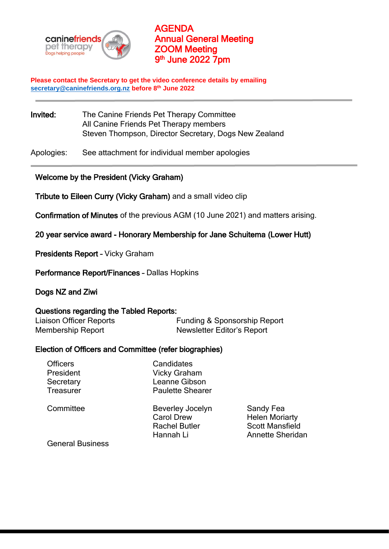

AGENDA Annual General Meeting ZOOM Meeting 9<sup>th</sup> June 2022 7pm

**Please contact the Secretary to get the video conference details by emailing [secretary@caninefriends.org.nz](mailto:secretary@caninefriends.org.nz) before 8 th June 2022**

Invited: The Canine Friends Pet Therapy Committee All Canine Friends Pet Therapy members Steven Thompson, Director Secretary, Dogs New Zealand

Apologies: See attachment for individual member apologies

### Welcome by the President (Vicky Graham)

Tribute to Eileen Curry (Vicky Graham) and a small video clip

Confirmation of Minutes of the previous AGM (10 June 2021) and matters arising.

20 year service award - Honorary Membership for Jane Schuitema (Lower Hutt)

Presidents Report – Vicky Graham

Performance Report/Finances – Dallas Hopkins

Dogs NZ and Ziwi

#### Questions regarding the Tabled Reports:

Liaison Officer Reports Funding & Sponsorship Report Membership Report Newsletter Editor's Report

### Election of Officers and Committee (refer biographies)

| <b>Officers</b><br>President<br>Secretary<br>Treasurer | Candidates<br>Vicky Graham<br>Leanne Gibson<br><b>Paulette Shearer</b>            |                                                                                         |
|--------------------------------------------------------|-----------------------------------------------------------------------------------|-----------------------------------------------------------------------------------------|
| Committee                                              | <b>Beverley Jocelyn</b><br><b>Carol Drew</b><br><b>Rachel Butler</b><br>Hannah Li | Sandy Fea<br><b>Helen Moriarty</b><br><b>Scott Mansfield</b><br><b>Annette Sheridan</b> |
| <b>General Business</b>                                |                                                                                   |                                                                                         |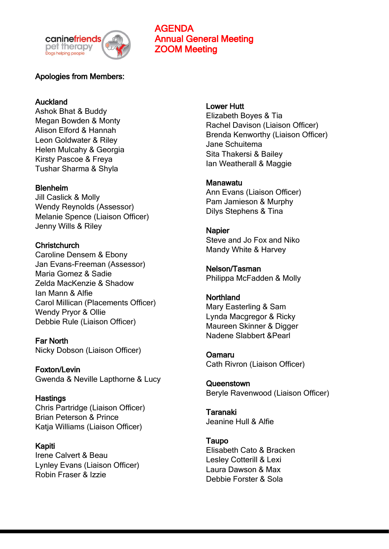

# Apologies from Members:

## **Auckland**

Ashok Bhat & Buddy Megan Bowden & Monty Alison Elford & Hannah Leon Goldwater & Riley Helen Mulcahy & Georgia Kirsty Pascoe & Freya Tushar Sharma & Shyla

### Blenheim

Jill Caslick & Molly Wendy Reynolds (Assessor) Melanie Spence (Liaison Officer) Jenny Wills & Riley

**Christchurch** Caroline Densem & Ebony Jan Evans-Freeman (Assessor) Maria Gomez & Sadie Zelda MacKenzie & Shadow Ian Mann & Alfie Carol Millican (Placements Officer) Wendy Pryor & Ollie Debbie Rule (Liaison Officer)

Far North Nicky Dobson (Liaison Officer)

Foxton/Levin Gwenda & Neville Lapthorne & Lucy

**Hastings** 

Chris Partridge (Liaison Officer) Brian Peterson & Prince Katja Williams (Liaison Officer)

Kapiti Irene Calvert & Beau Lynley Evans (Liaison Officer) Robin Fraser & Izzie

### Lower Hutt

AGENDA

ZOOM Meeting

Annual General Meeting

Elizabeth Boyes & Tia Rachel Davison (Liaison Officer) Brenda Kenworthy (Liaison Officer) Jane Schuitema Sita Thakersi & Bailey Ian Weatherall & Maggie

### Manawatu

Ann Evans (Liaison Officer) Pam Jamieson & Murphy Dilys Stephens & Tina

**Napier** Steve and Jo Fox and Niko Mandy White & Harvey

Nelson/Tasman Philippa McFadden & Molly

Northland Mary Easterling & Sam Lynda Macgregor & Ricky Maureen Skinner & Digger Nadene Slabbert &Pearl

Oamaru Cath Rivron (Liaison Officer)

Queenstown Beryle Ravenwood (Liaison Officer)

Taranaki Jeanine Hull & Alfie

Taupo Elisabeth Cato & Bracken Lesley Cotterill & Lexi Laura Dawson & Max Debbie Forster & Sola